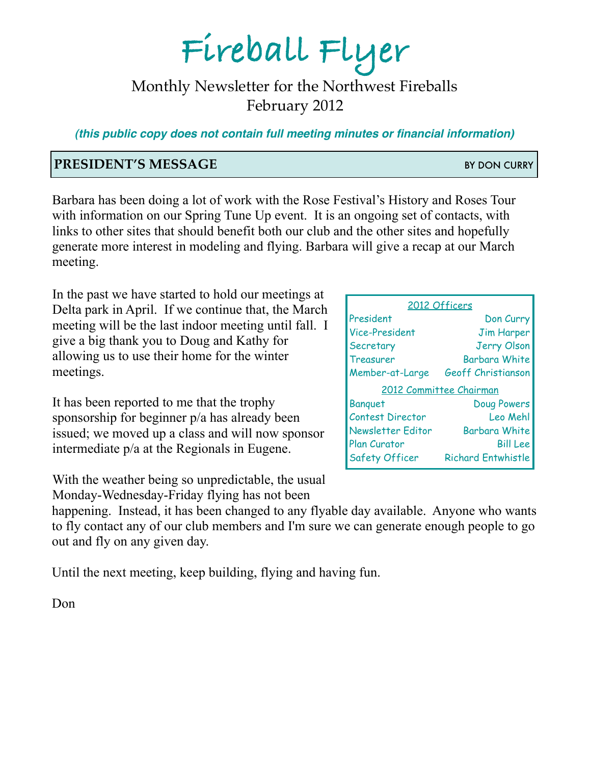# **Fireball Flyer**

# Monthly Newsletter for the Northwest Fireballs February 2012

*(this public copy does not contain full meeting minutes or financial information)*

### **PRESIDENT'S MESSAGE** BY DON CURRY

Barbara has been doing a lot of work with the Rose Festival's History and Roses Tour with information on our Spring Tune Up event. It is an ongoing set of contacts, with links to other sites that should benefit both our club and the other sites and hopefully generate more interest in modeling and flying. Barbara will give a recap at our March meeting.

In the past we have started to hold our meetings at Delta park in April. If we continue that, the March meeting will be the last indoor meeting until fall. I give a big thank you to Doug and Kathy for allowing us to use their home for the winter meetings.

It has been reported to me that the trophy sponsorship for beginner p/a has already been issued; we moved up a class and will now sponsor intermediate p/a at the Regionals in Eugene.

With the weather being so unpredictable, the usual Monday-Wednesday-Friday flying has not been

happening. Instead, it has been changed to any flyable day available. Anyone who wants to fly contact any of our club members and I'm sure we can generate enough people to go out and fly on any given day.

Until the next meeting, keep building, flying and having fun.

Don

| 2012 Officers            |                      |
|--------------------------|----------------------|
| President                | Don Curry            |
| <b>Vice-President</b>    | <b>Jim Harper</b>    |
| Secretary                | <b>Jerry Olson</b>   |
| <b>Treasurer</b>         | <b>Barbara White</b> |
| Member-at-Large          | Geoff Christianson   |
| 2012 Committee Chairman  |                      |
| <b>Banquet</b>           | Doug Powers          |
| <b>Contest Director</b>  | Leo Mehl             |
|                          |                      |
| <b>Newsletter Editor</b> | <b>Barbara White</b> |
| <b>Plan Curator</b>      | <b>Bill Lee</b>      |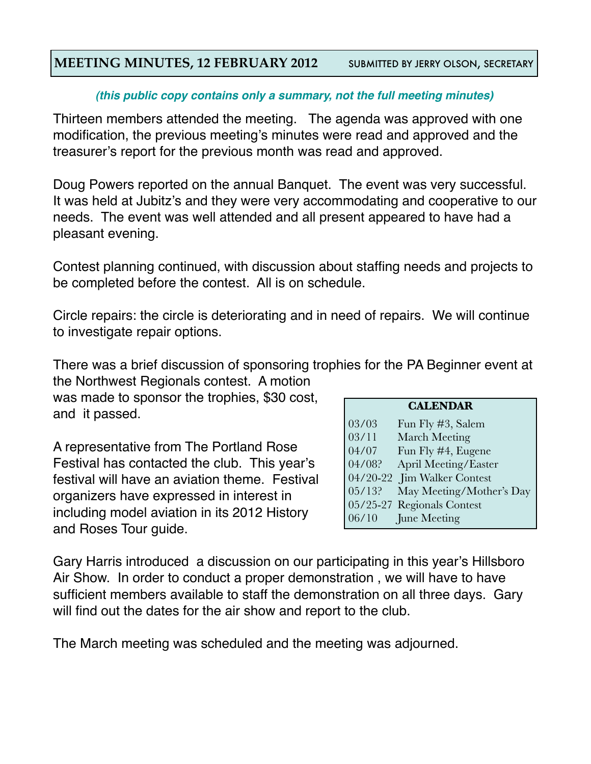#### **MEETING MINUTES, 12 FEBRUARY 2012** SUBMITTED BY JERRY OLSON, SECRETARY

#### *(this public copy contains only a summary, not the full meeting minutes)*

Thirteen members attended the meeting. The agenda was approved with one modification, the previous meeting's minutes were read and approved and the treasurer's report for the previous month was read and approved.

Doug Powers reported on the annual Banquet. The event was very successful. It was held at Jubitz's and they were very accommodating and cooperative to our needs. The event was well attended and all present appeared to have had a pleasant evening.

Contest planning continued, with discussion about staffing needs and projects to be completed before the contest. All is on schedule.

Circle repairs: the circle is deteriorating and in need of repairs. We will continue to investigate repair options.

There was a brief discussion of sponsoring trophies for the PA Beginner event at the Northwest Regionals contest. A motion

was made to sponsor the trophies, \$30 cost, and it passed.

A representative from The Portland Rose Festival has contacted the club. This year's festival will have an aviation theme. Festival organizers have expressed in interest in including model aviation in its 2012 History and Roses Tour guide.

| <b>CALENDAR</b> |
|-----------------|
|-----------------|

| 03/03     | Fun Fly #3, Salem           |
|-----------|-----------------------------|
| 03/11     | <b>March Meeting</b>        |
| 04/07     | Fun Fly #4, Eugene          |
| 04/08?    | April Meeting/Easter        |
|           | 04/20-22 Jim Walker Contest |
| $05/13$ ? | May Meeting/Mother's Day    |
|           | 05/25-27 Regionals Contest  |
| 06/10     | June Meeting                |

Gary Harris introduced a discussion on our participating in this year's Hillsboro Air Show. In order to conduct a proper demonstration , we will have to have sufficient members available to staff the demonstration on all three days. Gary will find out the dates for the air show and report to the club.

The March meeting was scheduled and the meeting was adjourned.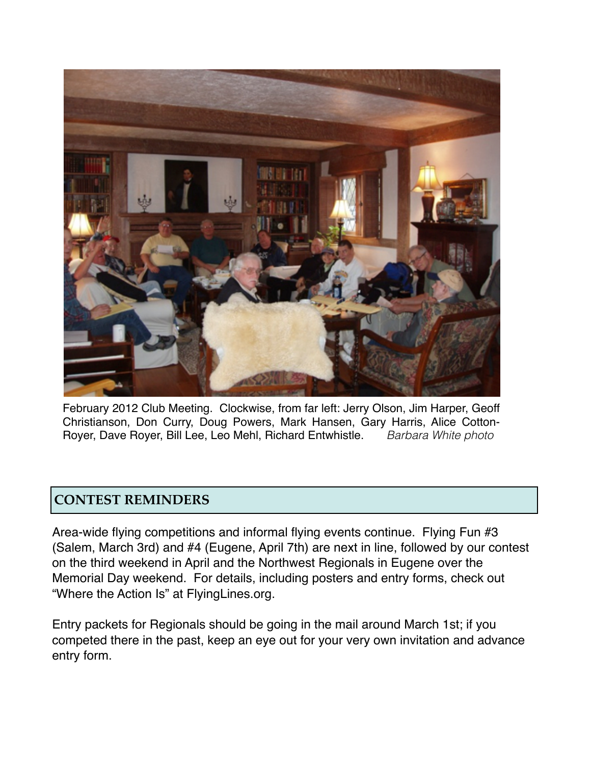

February 2012 Club Meeting. Clockwise, from far left: Jerry Olson, Jim Harper, Geoff Christianson, Don Curry, Doug Powers, Mark Hansen, Gary Harris, Alice Cotton-Royer, Dave Royer, Bill Lee, Leo Mehl, Richard Entwhistle. *Barbara White photo*

#### **CONTEST REMINDERS**

Area-wide flying competitions and informal flying events continue. Flying Fun #3 (Salem, March 3rd) and #4 (Eugene, April 7th) are next in line, followed by our contest on the third weekend in April and the Northwest Regionals in Eugene over the Memorial Day weekend. For details, including posters and entry forms, check out "Where the Action Is" at FlyingLines.org.

Entry packets for Regionals should be going in the mail around March 1st; if you competed there in the past, keep an eye out for your very own invitation and advance entry form.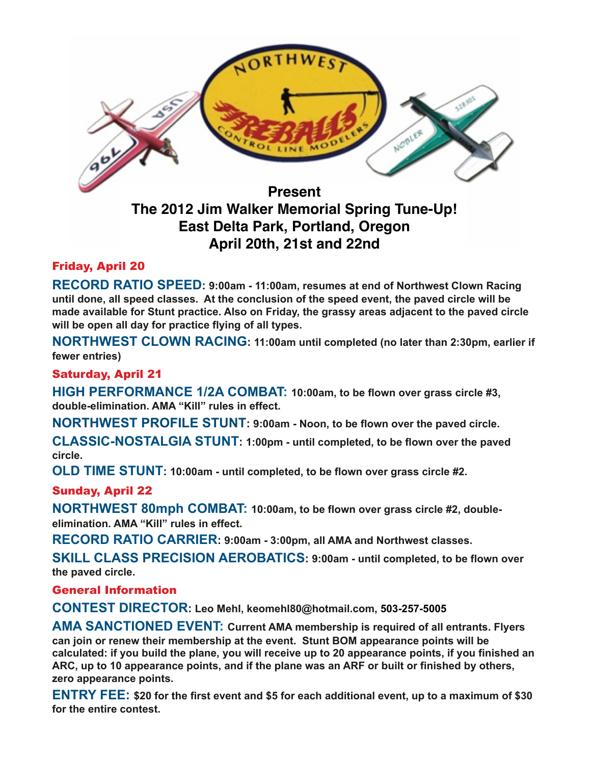

# **The 2012 Jim Walker Memorial Spring Tune-Up! East Delta Park, Portland, Oregon April 20th, 21st and 22nd**

#### Friday, April 20

**RECORD RATIO SPEED: 9:00am - 11:00am, resumes at end of Northwest Clown Racing until done, all speed classes. At the conclusion of the speed event, the paved circle will be made available for Stunt practice. Also on Friday, the grassy areas adjacent to the paved circle will be open all day for practice flying of all types.** 

**NORTHWEST CLOWN RACING: 11:00am until completed (no later than 2:30pm, earlier if fewer entries)** 

#### Saturday, April 21

**HIGH PERFORMANCE 1/2A COMBAT: 10:00am, to be flown over grass circle #3, double-elimination. AMA "Kill" rules in effect.**

**NORTHWEST PROFILE STUNT: 9:00am - Noon, to be flown over the paved circle.** 

**CLASSIC-NOSTALGIA STUNT: 1:00pm - until completed, to be flown over the paved circle.** 

**OLD TIME STUNT: 10:00am - until completed, to be flown over grass circle #2.**

#### Sunday, April 22

**NORTHWEST 80mph COMBAT: 10:00am, to be flown over grass circle #2, doubleelimination. AMA "Kill" rules in effect.**

**RECORD RATIO CARRIER: 9:00am - 3:00pm, all AMA and Northwest classes.** 

**SKILL CLASS PRECISION AEROBATICS: 9:00am - until completed, to be flown over the paved circle.**

#### General Information

**CONTEST DIRECTOR: Leo Mehl, keomehl80@hotmail.com, 503-257-5005** 

**AMA SANCTIONED EVENT: Current AMA membership is required of all entrants. Flyers can join or renew their membership at the event. Stunt BOM appearance points will be calculated: if you build the plane, you will receive up to 20 appearance points, if you finished an ARC, up to 10 appearance points, and if the plane was an ARF or built or finished by others, zero appearance points.**

**ENTRY FEE: \$20 for the first event and \$5 for each additional event, up to a maximum of \$30 for the entire contest.**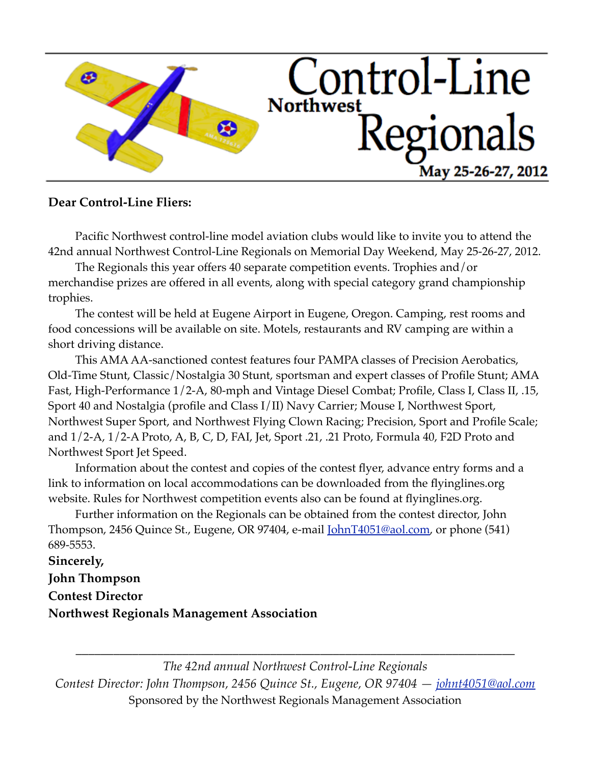

#### **Dear Control-Line Fliers:**

Pacific Northwest control-line model aviation clubs would like to invite you to attend the 42nd annual Northwest Control-Line Regionals on Memorial Day Weekend, May 25-26-27, 2012.

The Regionals this year offers 40 separate competition events. Trophies and/or merchandise prizes are offered in all events, along with special category grand championship trophies.

The contest will be held at Eugene Airport in Eugene, Oregon. Camping, rest rooms and food concessions will be available on site. Motels, restaurants and RV camping are within a short driving distance.

This AMA AA-sanctioned contest features four PAMPA classes of Precision Aerobatics, Old-Time Stunt, Classic/Nostalgia 30 Stunt, sportsman and expert classes of Profile Stunt; AMA Fast, High-Performance 1/2-A, 80-mph and Vintage Diesel Combat; Profile, Class I, Class II, .15, Sport 40 and Nostalgia (profile and Class I/II) Navy Carrier; Mouse I, Northwest Sport, Northwest Super Sport, and Northwest Flying Clown Racing; Precision, Sport and Profile Scale; and 1/2-A, 1/2-A Proto, A, B, C, D, FAI, Jet, Sport .21, .21 Proto, Formula 40, F2D Proto and Northwest Sport Jet Speed.

Information about the contest and copies of the contest flyer, advance entry forms and a link to information on local accommodations can be downloaded from the flyinglines.org website. Rules for Northwest competition events also can be found at flyinglines.org.

Further information on the Regionals can be obtained from the contest director, John Thompson, 2456 Quince St., Eugene, OR 97404, e-mail <u>JohnT4051@aol.com</u>, or phone (541) 689-5553.

**Sincerely, John Thompson Contest Director Northwest Regionals Management Association**

*The 42nd annual Northwest Control-Line Regionals Contest Director: John Thompson, 2456 Quince St., Eugene, OR 97404 — [johnt4051@aol.com](mailto:johnt4051@aol.com)* Sponsored by the Northwest Regionals Management Association

*\_\_\_\_\_\_\_\_\_\_\_\_\_\_\_\_\_\_\_\_\_\_\_\_\_\_\_\_\_\_\_\_\_\_\_\_\_\_\_\_\_\_\_\_\_\_\_\_\_\_\_\_\_\_\_\_\_\_\_\_\_\_\_\_\_\_\_\_\_\_*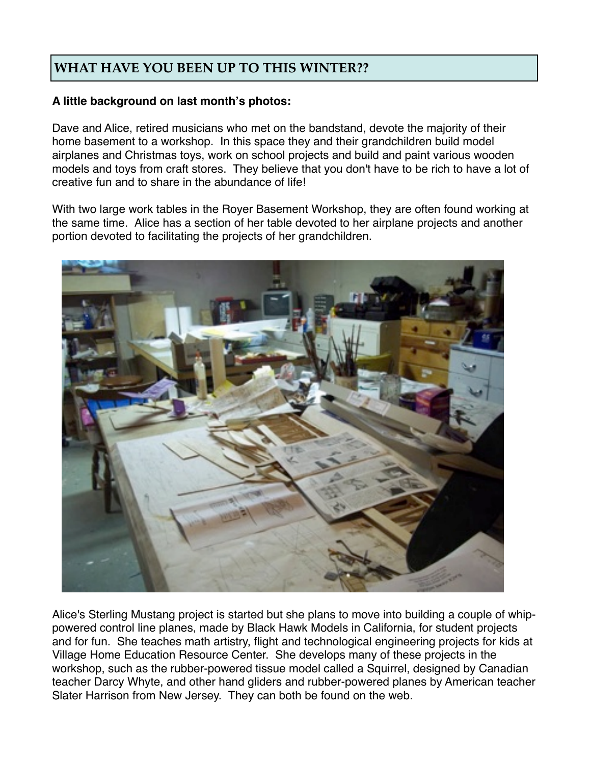## **WHAT HAVE YOU BEEN UP TO THIS WINTER??**

#### **A little background on last month's photos:**

Dave and Alice, retired musicians who met on the bandstand, devote the majority of their home basement to a workshop. In this space they and their grandchildren build model airplanes and Christmas toys, work on school projects and build and paint various wooden models and toys from craft stores. They believe that you don't have to be rich to have a lot of creative fun and to share in the abundance of life!

With two large work tables in the Royer Basement Workshop, they are often found working at the same time. Alice has a section of her table devoted to her airplane projects and another portion devoted to facilitating the projects of her grandchildren.



Alice's Sterling Mustang project is started but she plans to move into building a couple of whippowered control line planes, made by Black Hawk Models in California, for student projects and for fun. She teaches math artistry, flight and technological engineering projects for kids at Village Home Education Resource Center. She develops many of these projects in the workshop, such as the rubber-powered tissue model called a Squirrel, designed by Canadian teacher Darcy Whyte, and other hand gliders and rubber-powered planes by American teacher Slater Harrison from New Jersey. They can both be found on the web.